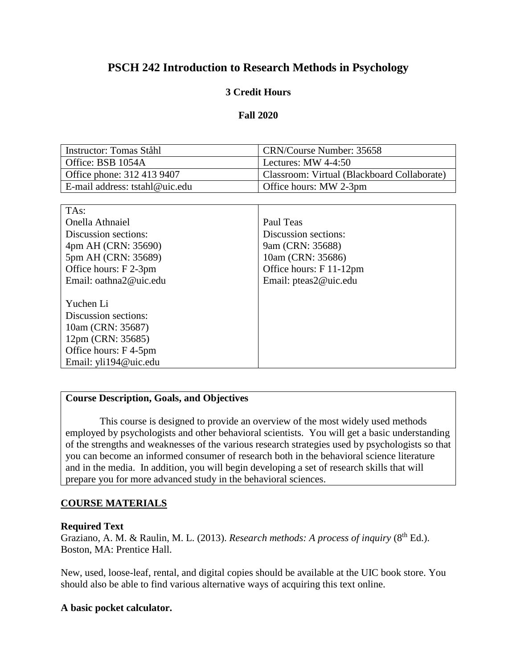# **PSCH 242 Introduction to Research Methods in Psychology**

# **3 Credit Hours**

### **Fall 2020**

| Instructor: Tomas Ståhl        | CRN/Course Number: 35658                    |
|--------------------------------|---------------------------------------------|
| Office: BSB 1054A              | Lectures: MW $4-4:50$                       |
| Office phone: 312 413 9407     | Classroom: Virtual (Blackboard Collaborate) |
| E-mail address: tstahl@uic.edu | Office hours: MW 2-3pm                      |

| TA <sub>s</sub> :      |                         |
|------------------------|-------------------------|
| Onella Athnaiel        | Paul Teas               |
| Discussion sections:   | Discussion sections:    |
| 4pm AH (CRN: 35690)    | 9am (CRN: 35688)        |
| 5pm AH (CRN: 35689)    | 10am (CRN: 35686)       |
| Office hours: F 2-3pm  | Office hours: F 11-12pm |
| Email: oathna2@uic.edu | Email: pteas2@uic.edu   |
|                        |                         |
| Yuchen Li              |                         |
| Discussion sections:   |                         |
| 10am (CRN: 35687)      |                         |
| 12pm (CRN: 35685)      |                         |
| Office hours: F4-5pm   |                         |
| Email: yli194@uic.edu  |                         |

# **Course Description, Goals, and Objectives**

This course is designed to provide an overview of the most widely used methods employed by psychologists and other behavioral scientists. You will get a basic understanding of the strengths and weaknesses of the various research strategies used by psychologists so that you can become an informed consumer of research both in the behavioral science literature and in the media. In addition, you will begin developing a set of research skills that will prepare you for more advanced study in the behavioral sciences.

# **COURSE MATERIALS**

#### **Required Text**

Graziano, A. M. & Raulin, M. L. (2013). *Research methods: A process of inquiry* (8<sup>th</sup> Ed.). Boston, MA: Prentice Hall.

New, used, loose-leaf, rental, and digital copies should be available at the UIC book store. You should also be able to find various alternative ways of acquiring this text online.

#### **A basic pocket calculator.**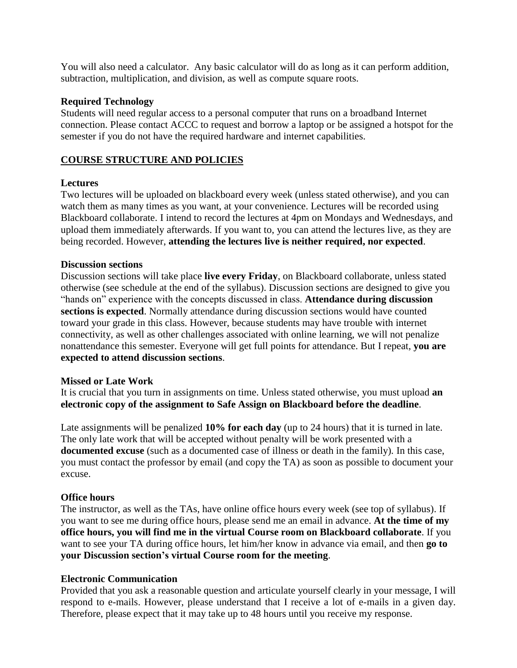You will also need a calculator. Any basic calculator will do as long as it can perform addition, subtraction, multiplication, and division, as well as compute square roots.

#### **Required Technology**

Students will need regular access to a personal computer that runs on a broadband Internet connection. Please contact ACCC to request and borrow a laptop or be assigned a hotspot for the semester if you do not have the required hardware and internet capabilities.

# **COURSE STRUCTURE AND POLICIES**

### **Lectures**

Two lectures will be uploaded on blackboard every week (unless stated otherwise), and you can watch them as many times as you want, at your convenience. Lectures will be recorded using Blackboard collaborate. I intend to record the lectures at 4pm on Mondays and Wednesdays, and upload them immediately afterwards. If you want to, you can attend the lectures live, as they are being recorded. However, **attending the lectures live is neither required, nor expected**.

### **Discussion sections**

Discussion sections will take place **live every Friday**, on Blackboard collaborate, unless stated otherwise (see schedule at the end of the syllabus). Discussion sections are designed to give you "hands on" experience with the concepts discussed in class. **Attendance during discussion sections is expected**. Normally attendance during discussion sections would have counted toward your grade in this class. However, because students may have trouble with internet connectivity, as well as other challenges associated with online learning, we will not penalize nonattendance this semester. Everyone will get full points for attendance. But I repeat, **you are expected to attend discussion sections**.

#### **Missed or Late Work**

It is crucial that you turn in assignments on time. Unless stated otherwise, you must upload **an electronic copy of the assignment to Safe Assign on Blackboard before the deadline**.

Late assignments will be penalized **10% for each day** (up to 24 hours) that it is turned in late. The only late work that will be accepted without penalty will be work presented with a **documented excuse** (such as a documented case of illness or death in the family)*.* In this case, you must contact the professor by email (and copy the TA) as soon as possible to document your excuse.

# **Office hours**

The instructor, as well as the TAs, have online office hours every week (see top of syllabus). If you want to see me during office hours, please send me an email in advance. **At the time of my office hours, you will find me in the virtual Course room on Blackboard collaborate**. If you want to see your TA during office hours, let him/her know in advance via email, and then **go to your Discussion section's virtual Course room for the meeting**.

#### **Electronic Communication**

Provided that you ask a reasonable question and articulate yourself clearly in your message, I will respond to e-mails. However, please understand that I receive a lot of e-mails in a given day. Therefore, please expect that it may take up to 48 hours until you receive my response.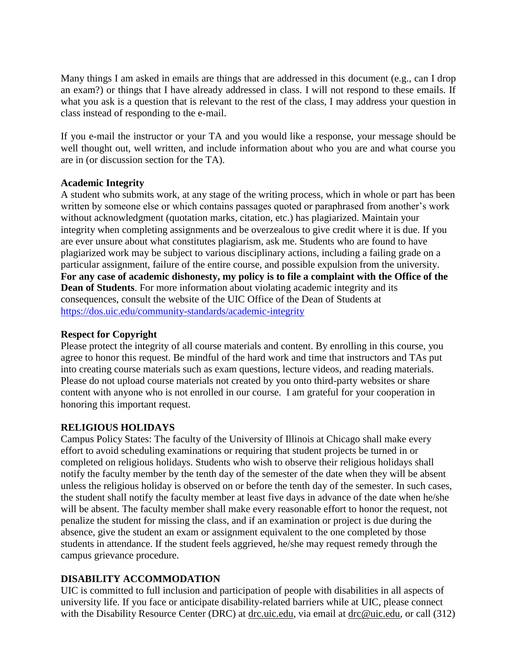Many things I am asked in emails are things that are addressed in this document (e.g., can I drop an exam?) or things that I have already addressed in class. I will not respond to these emails. If what you ask is a question that is relevant to the rest of the class, I may address your question in class instead of responding to the e-mail.

If you e-mail the instructor or your TA and you would like a response, your message should be well thought out, well written, and include information about who you are and what course you are in (or discussion section for the TA).

### **Academic Integrity**

A student who submits work, at any stage of the writing process, which in whole or part has been written by someone else or which contains passages quoted or paraphrased from another's work without acknowledgment (quotation marks, citation, etc.) has plagiarized. Maintain your integrity when completing assignments and be overzealous to give credit where it is due. If you are ever unsure about what constitutes plagiarism, ask me. Students who are found to have plagiarized work may be subject to various disciplinary actions, including a failing grade on a particular assignment, failure of the entire course, and possible expulsion from the university. **For any case of academic dishonesty, my policy is to file a complaint with the Office of the Dean of Students**. For more information about violating academic integrity and its consequences, consult the website of the UIC Office of the Dean of Students at <https://dos.uic.edu/community-standards/academic-integrity>

#### **Respect for Copyright**

Please protect the integrity of all course materials and content. By enrolling in this course, you agree to honor this request. Be mindful of the hard work and time that instructors and TAs put into creating course materials such as exam questions, lecture videos, and reading materials. Please do not upload course materials not created by you onto third-party websites or share content with anyone who is not enrolled in our course. I am grateful for your cooperation in honoring this important request.

# **RELIGIOUS HOLIDAYS**

Campus Policy States: The faculty of the University of Illinois at Chicago shall make every effort to avoid scheduling examinations or requiring that student projects be turned in or completed on religious holidays. Students who wish to observe their religious holidays shall notify the faculty member by the tenth day of the semester of the date when they will be absent unless the religious holiday is observed on or before the tenth day of the semester. In such cases, the student shall notify the faculty member at least five days in advance of the date when he/she will be absent. The faculty member shall make every reasonable effort to honor the request, not penalize the student for missing the class, and if an examination or project is due during the absence, give the student an exam or assignment equivalent to the one completed by those students in attendance. If the student feels aggrieved, he/she may request remedy through the campus grievance procedure.

# **DISABILITY ACCOMMODATION**

UIC is committed to full inclusion and participation of people with disabilities in all aspects of university life. If you face or anticipate disability-related barriers while at UIC, please connect with the Disability Resource Center (DRC) at [drc.uic.edu,](https://drc.uic.edu/) via email at [drc@uic.edu,](mailto:drc@uic.edu) or call (312)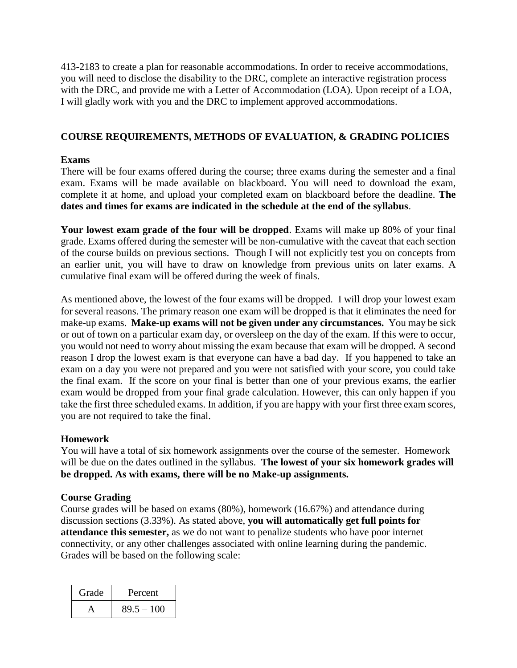413-2183 to create a plan for reasonable accommodations. In order to receive accommodations, you will need to disclose the disability to the DRC, complete an interactive registration process with the DRC, and provide me with a Letter of Accommodation (LOA). Upon receipt of a LOA, I will gladly work with you and the DRC to implement approved accommodations.

# **COURSE REQUIREMENTS, METHODS OF EVALUATION, & GRADING POLICIES**

### **Exams**

There will be four exams offered during the course; three exams during the semester and a final exam. Exams will be made available on blackboard. You will need to download the exam, complete it at home, and upload your completed exam on blackboard before the deadline. **The dates and times for exams are indicated in the schedule at the end of the syllabus**.

**Your lowest exam grade of the four will be dropped**. Exams will make up 80% of your final grade. Exams offered during the semester will be non-cumulative with the caveat that each section of the course builds on previous sections. Though I will not explicitly test you on concepts from an earlier unit, you will have to draw on knowledge from previous units on later exams. A cumulative final exam will be offered during the week of finals.

As mentioned above, the lowest of the four exams will be dropped. I will drop your lowest exam for several reasons. The primary reason one exam will be dropped is that it eliminates the need for make-up exams. **Make-up exams will not be given under any circumstances.** You may be sick or out of town on a particular exam day, or oversleep on the day of the exam. If this were to occur, you would not need to worry about missing the exam because that exam will be dropped. A second reason I drop the lowest exam is that everyone can have a bad day. If you happened to take an exam on a day you were not prepared and you were not satisfied with your score, you could take the final exam. If the score on your final is better than one of your previous exams, the earlier exam would be dropped from your final grade calculation. However, this can only happen if you take the first three scheduled exams. In addition, if you are happy with your first three exam scores, you are not required to take the final.

# **Homework**

You will have a total of six homework assignments over the course of the semester. Homework will be due on the dates outlined in the syllabus. **The lowest of your six homework grades will be dropped. As with exams, there will be no Make-up assignments.** 

#### **Course Grading**

Course grades will be based on exams (80%), homework (16.67%) and attendance during discussion sections (3.33%). As stated above, **you will automatically get full points for attendance this semester,** as we do not want to penalize students who have poor internet connectivity, or any other challenges associated with online learning during the pandemic. Grades will be based on the following scale:

| Grade | Percent      |
|-------|--------------|
|       | $89.5 - 100$ |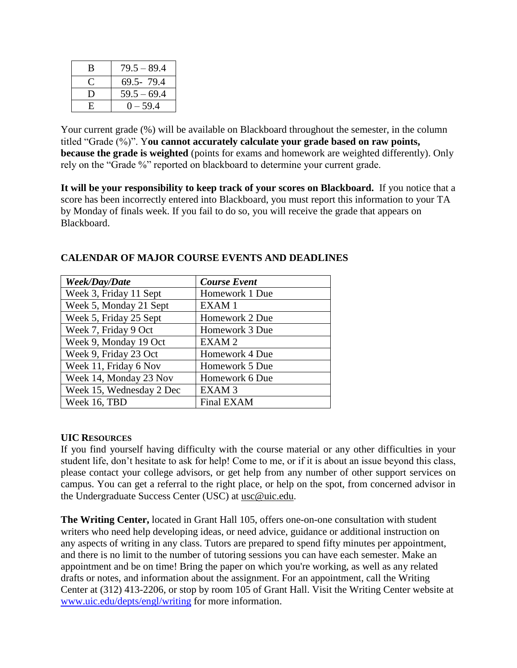| B  | $79.5 - 89.4$ |
|----|---------------|
|    | 69.5-79.4     |
| I) | $59.5 - 69.4$ |
| H. | $0 - 59.4$    |

Your current grade  $(\%)$  will be available on Blackboard throughout the semester, in the column titled "Grade (%)". Y**ou cannot accurately calculate your grade based on raw points, because the grade is weighted** (points for exams and homework are weighted differently). Only rely on the "Grade %" reported on blackboard to determine your current grade.

**It will be your responsibility to keep track of your scores on Blackboard.** If you notice that a score has been incorrectly entered into Blackboard, you must report this information to your TA by Monday of finals week. If you fail to do so, you will receive the grade that appears on Blackboard.

| Week/Day/Date            | <b>Course Event</b> |
|--------------------------|---------------------|
| Week 3, Friday 11 Sept   | Homework 1 Due      |
| Week 5, Monday 21 Sept   | EXAM1               |
| Week 5, Friday 25 Sept   | Homework 2 Due      |
| Week 7, Friday 9 Oct     | Homework 3 Due      |
| Week 9, Monday 19 Oct    | EXAM <sub>2</sub>   |
| Week 9, Friday 23 Oct    | Homework 4 Due      |
| Week 11, Friday 6 Nov    | Homework 5 Due      |
| Week 14, Monday 23 Nov   | Homework 6 Due      |
| Week 15, Wednesday 2 Dec | EXAM <sub>3</sub>   |
| Week 16, TBD             | Final EXAM          |

# **CALENDAR OF MAJOR COURSE EVENTS AND DEADLINES**

#### **UIC RESOURCES**

If you find yourself having difficulty with the course material or any other difficulties in your student life, don't hesitate to ask for help! Come to me, or if it is about an issue beyond this class, please contact your college advisors, or get help from any number of other support services on campus. You can get a referral to the right place, or help on the spot, from concerned advisor in the Undergraduate Success Center (USC) at [usc@uic.edu](mailto:usc@uic.edu).

**The Writing Center,** located in Grant Hall 105, offers one-on-one consultation with student writers who need help developing ideas, or need advice, guidance or additional instruction on any aspects of writing in any class. Tutors are prepared to spend fifty minutes per appointment, and there is no limit to the number of tutoring sessions you can have each semester. Make an appointment and be on time! Bring the paper on which you're working, as well as any related drafts or notes, and information about the assignment. For an appointment, call the Writing Center at (312) 413-2206, or stop by room 105 of Grant Hall. Visit the Writing Center website at [www.uic.edu/depts/engl/writing](http://www.uic.edu/depts/engl/writing) for more information.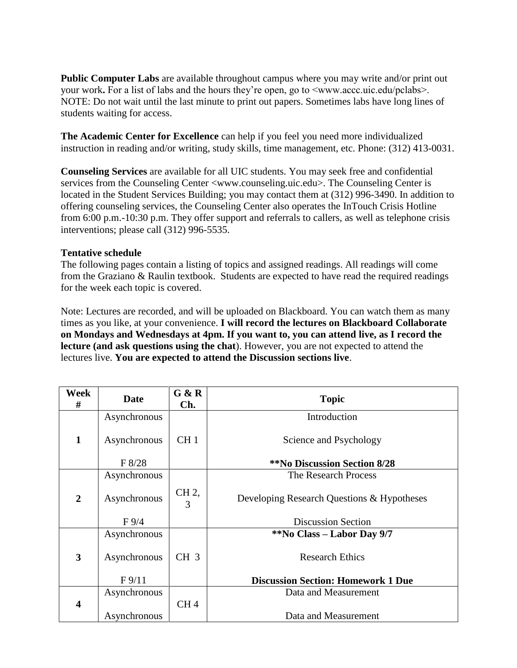**Public Computer Labs** are available throughout campus where you may write and/or print out your work**.** For a list of labs and the hours they're open, go to  $\leq$ www.accc.uic.edu/pclabs>. NOTE: Do not wait until the last minute to print out papers. Sometimes labs have long lines of students waiting for access.

**The Academic Center for Excellence** can help if you feel you need more individualized instruction in reading and/or writing, study skills, time management, etc. Phone: (312) 413-0031.

**Counseling Services** are available for all UIC students. You may seek free and confidential services from the Counseling Center <www.counseling.uic.edu>. The Counseling Center is located in the Student Services Building; you may contact them at (312) 996-3490. In addition to offering counseling services, the Counseling Center also operates the InTouch Crisis Hotline from 6:00 p.m.-10:30 p.m. They offer support and referrals to callers, as well as telephone crisis interventions; please call (312) 996-5535.

### **Tentative schedule**

The following pages contain a listing of topics and assigned readings. All readings will come from the Graziano & Raulin textbook. Students are expected to have read the required readings for the week each topic is covered.

Note: Lectures are recorded, and will be uploaded on Blackboard. You can watch them as many times as you like, at your convenience. **I will record the lectures on Blackboard Collaborate on Mondays and Wednesdays at 4pm. If you want to, you can attend live, as I record the lecture (and ask questions using the chat**). However, you are not expected to attend the lectures live. **You are expected to attend the Discussion sections live**.

| Week<br>#               | <b>Date</b>  | G & R<br>Ch.    | <b>Topic</b>                               |
|-------------------------|--------------|-----------------|--------------------------------------------|
|                         | Asynchronous |                 | Introduction                               |
| $\mathbf{1}$            | Asynchronous | CH <sub>1</sub> | Science and Psychology                     |
|                         | F 8/28       |                 | <b>**No Discussion Section 8/28</b>        |
|                         | Asynchronous |                 | The Research Process                       |
| $\overline{2}$          | Asynchronous | CH 2,<br>3      | Developing Research Questions & Hypotheses |
|                         | $F\,9/4$     |                 | <b>Discussion Section</b>                  |
|                         | Asynchronous |                 | **No Class – Labor Day 9/7                 |
| $\overline{\mathbf{3}}$ | Asynchronous | CH <sub>3</sub> | <b>Research Ethics</b>                     |
|                         | $F\,9/11$    |                 | <b>Discussion Section: Homework 1 Due</b>  |
|                         | Asynchronous |                 | Data and Measurement                       |
| $\boldsymbol{4}$        |              | CH <sub>4</sub> |                                            |
|                         | Asynchronous |                 | Data and Measurement                       |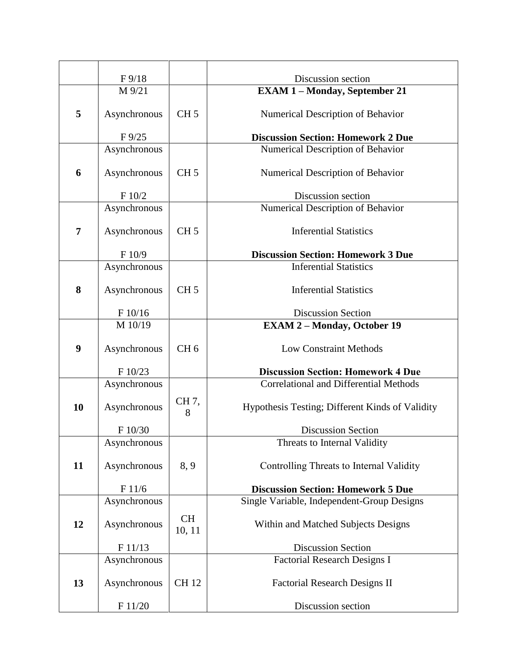|                | $F\,9/18$       |                     | Discussion section                              |
|----------------|-----------------|---------------------|-------------------------------------------------|
|                | M 9/21          |                     | <b>EXAM 1-Monday, September 21</b>              |
|                |                 |                     |                                                 |
| 5              | Asynchronous    | CH <sub>5</sub>     | Numerical Description of Behavior               |
|                | $F\frac{9}{25}$ |                     | <b>Discussion Section: Homework 2 Due</b>       |
|                | Asynchronous    |                     | Numerical Description of Behavior               |
| 6              | Asynchronous    | CH <sub>5</sub>     | Numerical Description of Behavior               |
|                | F 10/2          |                     | Discussion section                              |
|                | Asynchronous    |                     | Numerical Description of Behavior               |
| $\overline{7}$ | Asynchronous    | CH <sub>5</sub>     | <b>Inferential Statistics</b>                   |
|                | F 10/9          |                     | <b>Discussion Section: Homework 3 Due</b>       |
|                | Asynchronous    |                     | <b>Inferential Statistics</b>                   |
| 8              | Asynchronous    | CH <sub>5</sub>     | <b>Inferential Statistics</b>                   |
|                | F 10/16         |                     | <b>Discussion Section</b>                       |
|                | M 10/19         |                     | <b>EXAM 2 - Monday, October 19</b>              |
| 9              | Asynchronous    | CH <sub>6</sub>     | <b>Low Constraint Methods</b>                   |
|                | F 10/23         |                     | <b>Discussion Section: Homework 4 Due</b>       |
|                | Asynchronous    |                     | <b>Correlational and Differential Methods</b>   |
| 10             | Asynchronous    | CH 7,<br>8          | Hypothesis Testing; Different Kinds of Validity |
|                | F 10/30         |                     | <b>Discussion Section</b>                       |
|                | Asynchronous    |                     | Threats to Internal Validity                    |
| 11             | Asynchronous    | 8, 9                | Controlling Threats to Internal Validity        |
|                | F 11/6          |                     | <b>Discussion Section: Homework 5 Due</b>       |
|                | Asynchronous    |                     | Single Variable, Independent-Group Designs      |
| 12             | Asynchronous    | <b>CH</b><br>10, 11 | Within and Matched Subjects Designs             |
|                | F 11/13         |                     | <b>Discussion Section</b>                       |
|                | Asynchronous    |                     | <b>Factorial Research Designs I</b>             |
| 13             | Asynchronous    | <b>CH12</b>         | <b>Factorial Research Designs II</b>            |
|                | F 11/20         |                     | Discussion section                              |